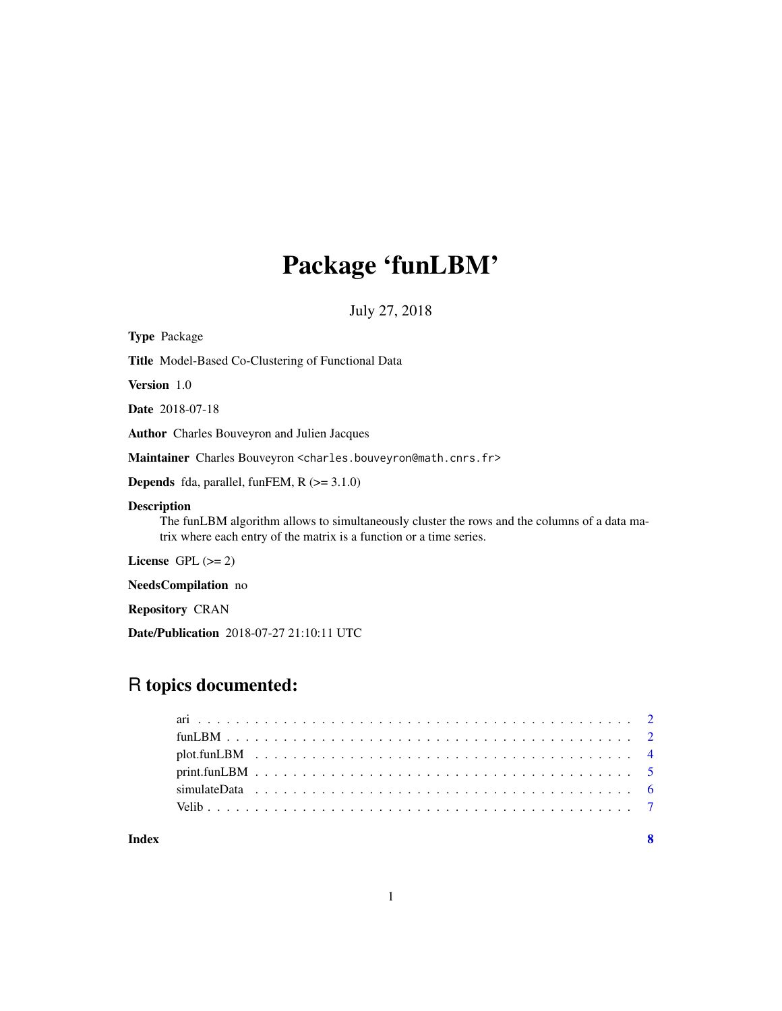# Package 'funLBM'

July 27, 2018

| <b>Type Package</b>                                                                                                                                                                       |
|-------------------------------------------------------------------------------------------------------------------------------------------------------------------------------------------|
| <b>Title</b> Model-Based Co-Clustering of Functional Data                                                                                                                                 |
| <b>Version</b> 1.0                                                                                                                                                                        |
| <b>Date</b> 2018-07-18                                                                                                                                                                    |
| <b>Author</b> Charles Bouveyron and Julien Jacques                                                                                                                                        |
| Maintainer Charles Bouveyron <charles.bouveyron@math.cnrs.fr></charles.bouveyron@math.cnrs.fr>                                                                                            |
| <b>Depends</b> fda, parallel, funFEM, $R$ ( $>=$ 3.1.0)                                                                                                                                   |
| <b>Description</b><br>The funLBM algorithm allows to simultaneously cluster the rows and the columns of a data ma-<br>trix where each entry of the matrix is a function or a time series. |
| License GPL $(>= 2)$                                                                                                                                                                      |
| <b>NeedsCompilation</b> no                                                                                                                                                                |
| <b>Repository CRAN</b>                                                                                                                                                                    |
|                                                                                                                                                                                           |

## Date/Publication 2018-07-27 21:10:11 UTC

## R topics documented:

| Index |  |  |  |  |  |  |  |  |  |  |  |  |  |  |  |  |  |  |  | $\overline{\mathbf{8}}$ |
|-------|--|--|--|--|--|--|--|--|--|--|--|--|--|--|--|--|--|--|--|-------------------------|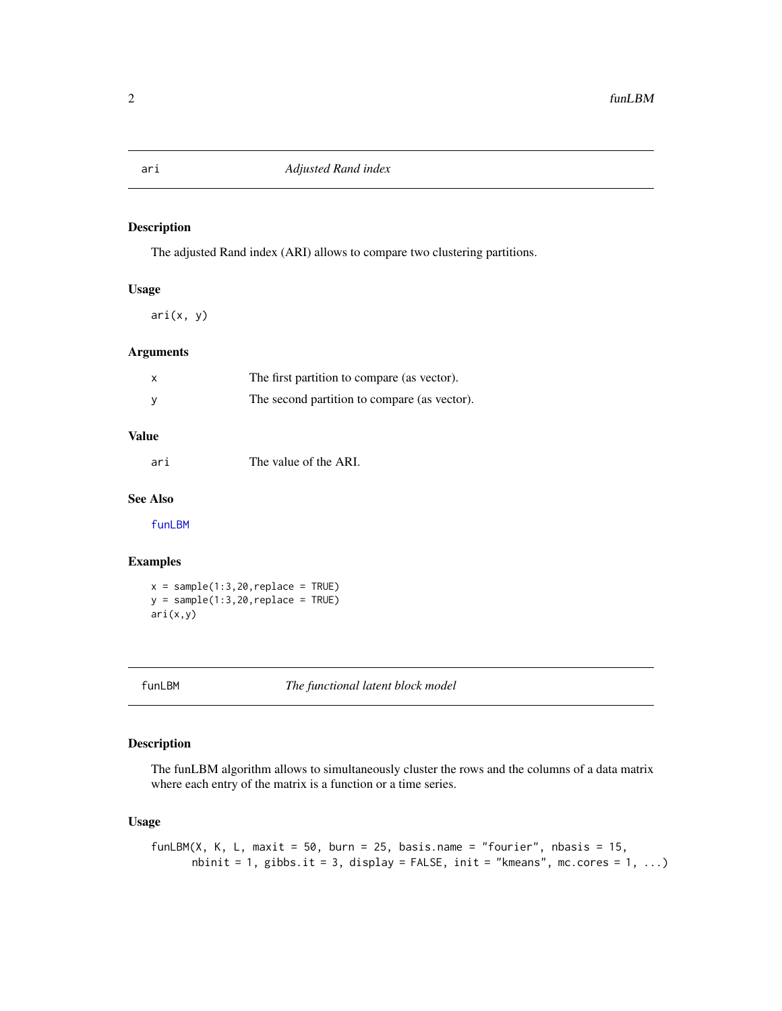#### Description

The adjusted Rand index (ARI) allows to compare two clustering partitions.

#### Usage

ari(x, y)

#### Arguments

| The first partition to compare (as vector).  |
|----------------------------------------------|
| The second partition to compare (as vector). |

#### Value

ari The value of the ARI.

#### See Also

[funLBM](#page-1-1)

#### Examples

 $x = sample(1:3,20,replace = TRUE)$  $y = sample(1:3,20,replace = TRUE)$ ari(x,y)

<span id="page-1-1"></span>funLBM *The functional latent block model*

#### Description

The funLBM algorithm allows to simultaneously cluster the rows and the columns of a data matrix where each entry of the matrix is a function or a time series.

#### Usage

```
funLBM(X, K, L, maxit = 50, burn = 25, basis.name = "fourier", nbasis = 15,
      nbinit = 1, gibbs.it = 3, display = FALSE, init = "kmeans", mc.cores = 1, ...)
```
<span id="page-1-0"></span>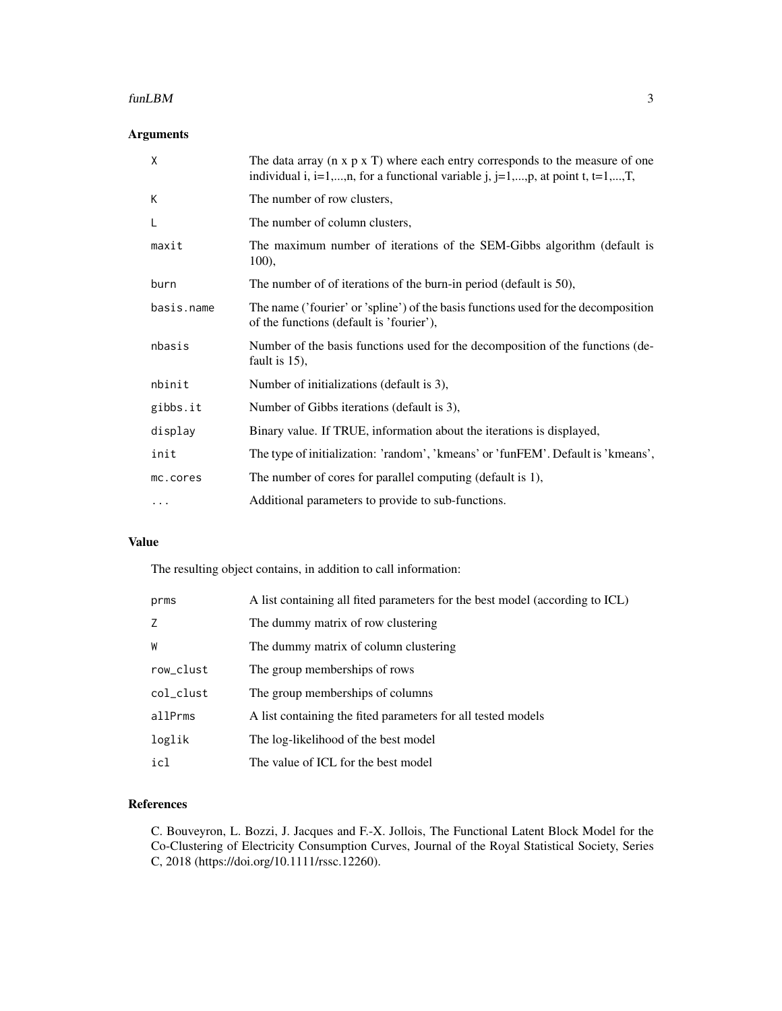#### funLBM 3

### Arguments

| X          | The data array ( $n \times p \times T$ ) where each entry corresponds to the measure of one<br>individual i, i=1,,n, for a functional variable j, j=1,,p, at point t, t=1,,T, |
|------------|-------------------------------------------------------------------------------------------------------------------------------------------------------------------------------|
| К          | The number of row clusters,                                                                                                                                                   |
| L          | The number of column clusters,                                                                                                                                                |
| maxit      | The maximum number of iterations of the SEM-Gibbs algorithm (default is<br>$100$ ,                                                                                            |
| burn       | The number of of iterations of the burn-in period (default is 50),                                                                                                            |
| basis.name | The name ('fourier' or 'spline') of the basis functions used for the decomposition<br>of the functions (default is 'fourier'),                                                |
| nbasis     | Number of the basis functions used for the decomposition of the functions (de-<br>fault is $15$ ),                                                                            |
| nbinit     | Number of initializations (default is 3),                                                                                                                                     |
| gibbs.it   | Number of Gibbs iterations (default is 3),                                                                                                                                    |
| display    | Binary value. If TRUE, information about the iterations is displayed,                                                                                                         |
| init       | The type of initialization: 'random', 'kmeans' or 'funFEM'. Default is 'kmeans',                                                                                              |
| mc.cores   | The number of cores for parallel computing (default is 1),                                                                                                                    |
| $\cdots$   | Additional parameters to provide to sub-functions.                                                                                                                            |

#### Value

The resulting object contains, in addition to call information:

| prms      | A list containing all fited parameters for the best model (according to ICL) |
|-----------|------------------------------------------------------------------------------|
|           | The dummy matrix of row clustering                                           |
| W         | The dummy matrix of column clustering                                        |
| row_clust | The group memberships of rows                                                |
| col_clust | The group memberships of columns                                             |
| allPrms   | A list containing the fited parameters for all tested models                 |
| loglik    | The log-likelihood of the best model                                         |
| icl       | The value of ICL for the best model                                          |

#### References

C. Bouveyron, L. Bozzi, J. Jacques and F.-X. Jollois, The Functional Latent Block Model for the Co-Clustering of Electricity Consumption Curves, Journal of the Royal Statistical Society, Series C, 2018 (https://doi.org/10.1111/rssc.12260).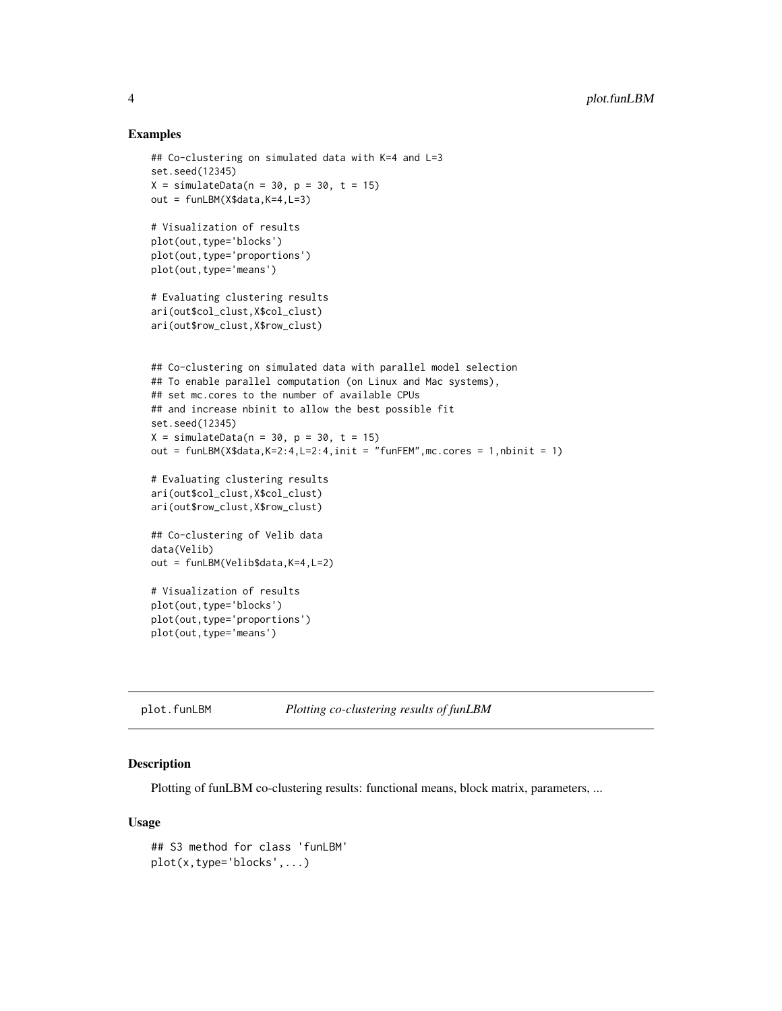#### Examples

```
## Co-clustering on simulated data with K=4 and L=3
set.seed(12345)
X = simulateData(n = 30, p = 30, t = 15)
out = funLBM(X$data,K=4,L=3)
# Visualization of results
plot(out,type='blocks')
plot(out,type='proportions')
plot(out,type='means')
# Evaluating clustering results
ari(out$col_clust,X$col_clust)
ari(out$row_clust,X$row_clust)
## Co-clustering on simulated data with parallel model selection
## To enable parallel computation (on Linux and Mac systems),
## set mc.cores to the number of available CPUs
## and increase nbinit to allow the best possible fit
set.seed(12345)
X = simulateData(n = 30, p = 30, t = 15)
out = funLBM(X$data, K=2:4, L=2:4, init = "funFEM", mc.cores = 1, nbinit = 1)
# Evaluating clustering results
ari(out$col_clust,X$col_clust)
ari(out$row_clust,X$row_clust)
## Co-clustering of Velib data
data(Velib)
out = funLBM(Velib$data,K=4,L=2)
# Visualization of results
plot(out,type='blocks')
plot(out,type='proportions')
plot(out,type='means')
```
plot.funLBM *Plotting co-clustering results of funLBM*

#### Description

Plotting of funLBM co-clustering results: functional means, block matrix, parameters, ...

#### Usage

```
## S3 method for class 'funLBM'
plot(x,type='blocks',...)
```
<span id="page-3-0"></span>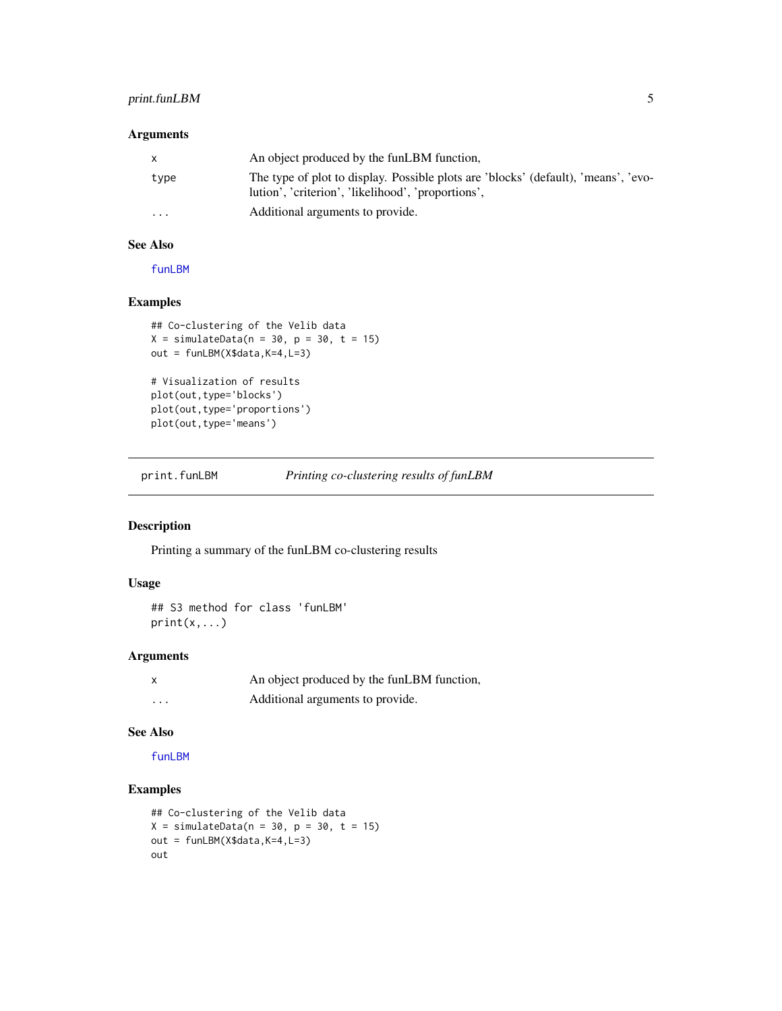### <span id="page-4-0"></span>print.funLBM 5

#### Arguments

| X        | An object produced by the funLBM function,                                                                                               |
|----------|------------------------------------------------------------------------------------------------------------------------------------------|
| type     | The type of plot to display. Possible plots are 'blocks' (default), 'means', 'evo-<br>lution', 'criterion', 'likelihood', 'proportions', |
| $\cdots$ | Additional arguments to provide.                                                                                                         |

#### See Also

[funLBM](#page-1-1)

#### Examples

```
## Co-clustering of the Velib data
X = simulateData(n = 30, p = 30, t = 15)
out = funLBM(X$data,K=4,L=3)
# Visualization of results
plot(out,type='blocks')
plot(out,type='proportions')
plot(out,type='means')
```
print.funLBM *Printing co-clustering results of funLBM*

### Description

Printing a summary of the funLBM co-clustering results

#### Usage

## S3 method for class 'funLBM'  $print(x, \ldots)$ 

#### Arguments

| X | An object produced by the funLBM function, |
|---|--------------------------------------------|
| . | Additional arguments to provide.           |

#### See Also

[funLBM](#page-1-1)

#### Examples

```
## Co-clustering of the Velib data
X = simulateData(n = 30, p = 30, t = 15)
out = funLBM(X$data,K=4,L=3)
out
```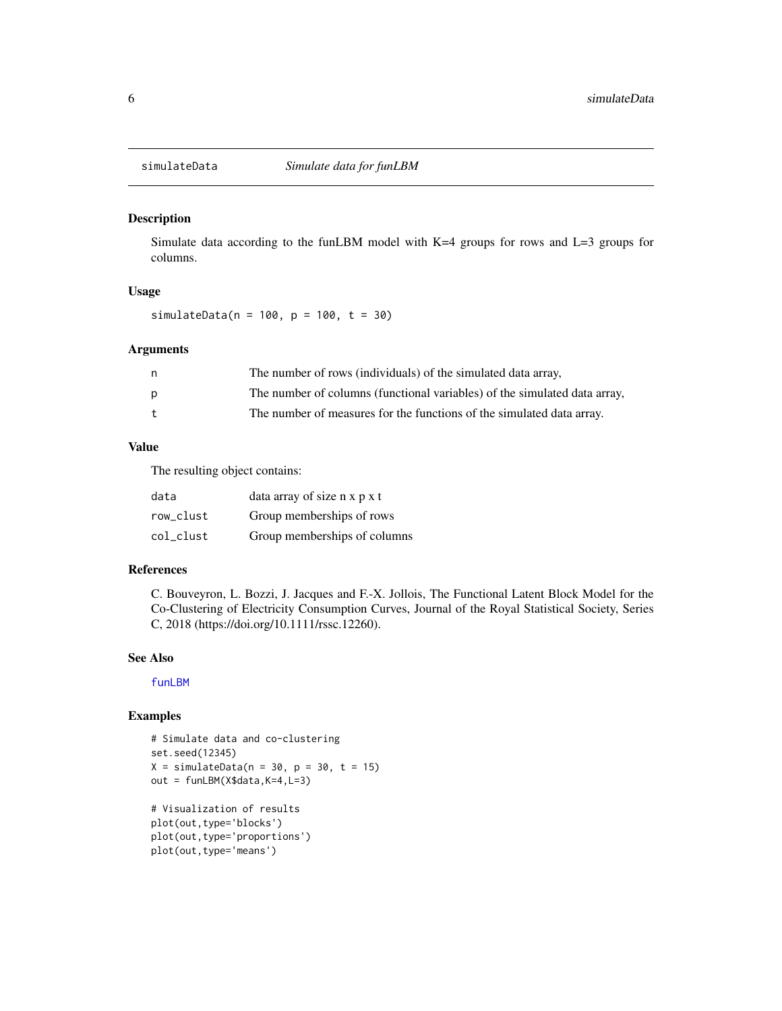<span id="page-5-0"></span>

#### Description

Simulate data according to the funLBM model with K=4 groups for rows and L=3 groups for columns.

#### Usage

simulateData(n = 100, p = 100, t = 30)

#### Arguments

| n.           | The number of rows (individuals) of the simulated data array,             |
|--------------|---------------------------------------------------------------------------|
| p            | The number of columns (functional variables) of the simulated data array, |
| $\mathbf{t}$ | The number of measures for the functions of the simulated data array.     |

#### Value

The resulting object contains:

| data      | data array of size n x p x t |
|-----------|------------------------------|
| row clust | Group memberships of rows    |
| col clust | Group memberships of columns |

#### References

C. Bouveyron, L. Bozzi, J. Jacques and F.-X. Jollois, The Functional Latent Block Model for the Co-Clustering of Electricity Consumption Curves, Journal of the Royal Statistical Society, Series C, 2018 (https://doi.org/10.1111/rssc.12260).

#### See Also

[funLBM](#page-1-1)

#### Examples

```
# Simulate data and co-clustering
set.seed(12345)
X = simulateData(n = 30, p = 30, t = 15)
out = funLBM(X$data,K=4,L=3)# Visualization of results
plot(out,type='blocks')
plot(out,type='proportions')
plot(out,type='means')
```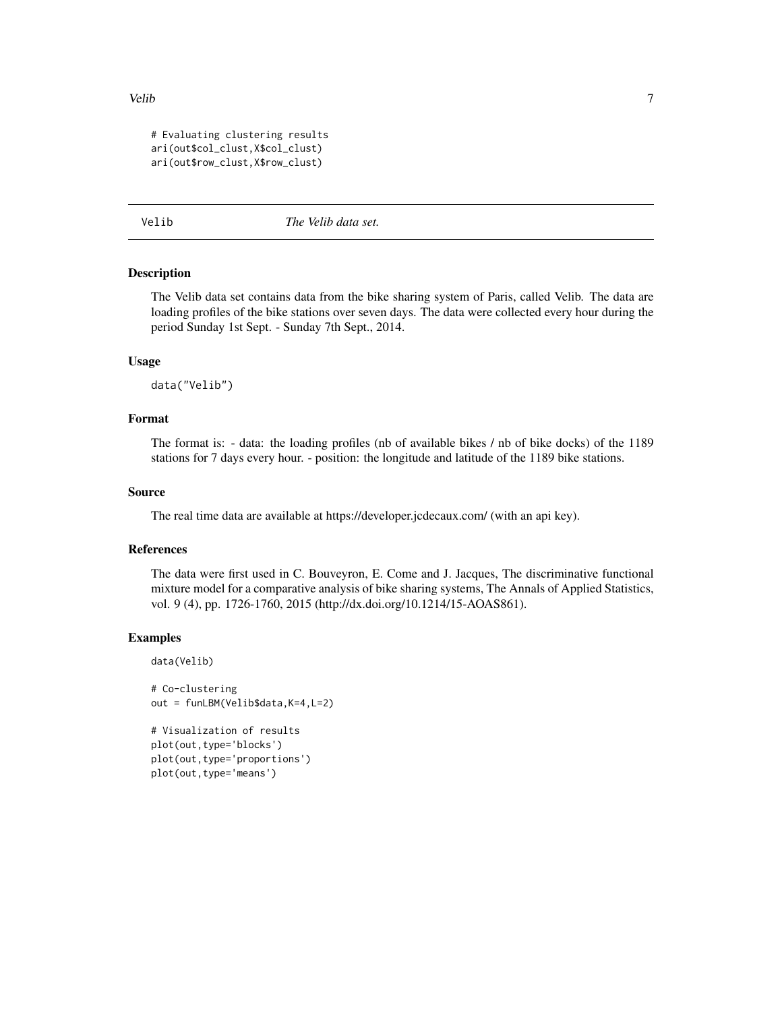#### <span id="page-6-0"></span>Velib 7 and 7 and 7 and 7 and 7 and 7 and 7 and 7 and 7 and 7 and 7 and 7 and 7 and 7 and 7 and 7 and 7 and 7 and 7 and 7 and 7 and 7 and 7 and 7 and 7 and 7 and 7 and 7 and 7 and 7 and 7 and 7 and 7 and 7 and 7 and 7 and

```
# Evaluating clustering results
ari(out$col_clust,X$col_clust)
ari(out$row_clust,X$row_clust)
```
Velib *The Velib data set.*

#### Description

The Velib data set contains data from the bike sharing system of Paris, called Velib. The data are loading profiles of the bike stations over seven days. The data were collected every hour during the period Sunday 1st Sept. - Sunday 7th Sept., 2014.

#### Usage

data("Velib")

#### Format

The format is: - data: the loading profiles (nb of available bikes / nb of bike docks) of the 1189 stations for 7 days every hour. - position: the longitude and latitude of the 1189 bike stations.

#### Source

The real time data are available at https://developer.jcdecaux.com/ (with an api key).

#### References

The data were first used in C. Bouveyron, E. Come and J. Jacques, The discriminative functional mixture model for a comparative analysis of bike sharing systems, The Annals of Applied Statistics, vol. 9 (4), pp. 1726-1760, 2015 (http://dx.doi.org/10.1214/15-AOAS861).

#### Examples

```
data(Velib)
```

```
# Co-clustering
out = funLBM(Velib$data,K=4,L=2)
```

```
# Visualization of results
plot(out,type='blocks')
plot(out,type='proportions')
plot(out,type='means')
```